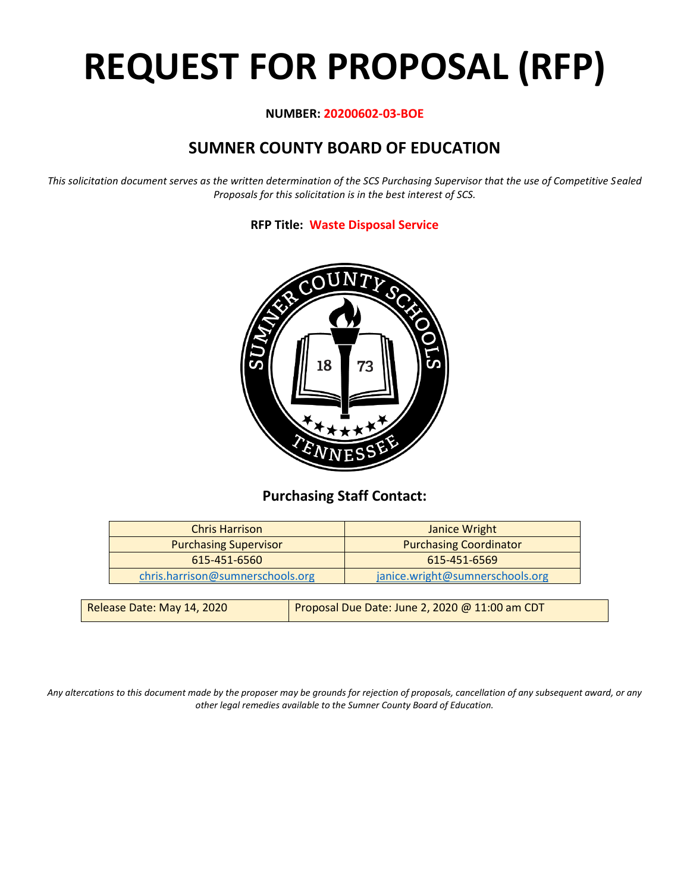# **REQUEST FOR PROPOSAL (RFP)**

#### **NUMBER: 20200602-03-BOE**

# **SUMNER COUNTY BOARD OF EDUCATION**

*This solicitation document serves as the written determination of the SCS Purchasing Supervisor that the use of Competitive Sealed Proposals for this solicitation is in the best interest of SCS.*

**RFP Title: Waste Disposal Service**



## **Purchasing Staff Contact:**

| <b>Chris Harrison</b>            | <b>Janice Wright</b>            |
|----------------------------------|---------------------------------|
| <b>Purchasing Supervisor</b>     | <b>Purchasing Coordinator</b>   |
| 615-451-6560                     | 615-451-6569                    |
| chris.harrison@sumnerschools.org | janice.wright@sumnerschools.org |
|                                  |                                 |

| Release Date: May 14, 2020 | Proposal Due Date: June 2, 2020 @ 11:00 am CDT |
|----------------------------|------------------------------------------------|
|                            |                                                |

*Any altercations to this document made by the proposer may be grounds for rejection of proposals, cancellation of any subsequent award, or any other legal remedies available to the Sumner County Board of Education.*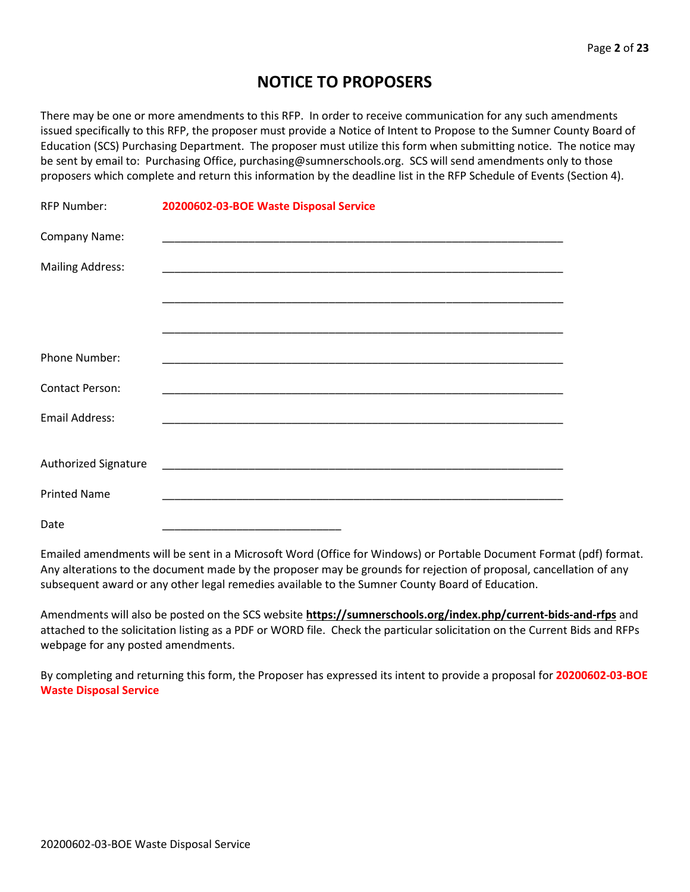## **NOTICE TO PROPOSERS**

There may be one or more amendments to this RFP. In order to receive communication for any such amendments issued specifically to this RFP, the proposer must provide a Notice of Intent to Propose to the Sumner County Board of Education (SCS) Purchasing Department. The proposer must utilize this form when submitting notice. The notice may be sent by email to: Purchasing Office, purchasing@sumnerschools.org. SCS will send amendments only to those proposers which complete and return this information by the deadline list in the RFP Schedule of Events (Section 4).

| <b>RFP Number:</b>      | 20200602-03-BOE Waste Disposal Service                               |
|-------------------------|----------------------------------------------------------------------|
| Company Name:           |                                                                      |
| <b>Mailing Address:</b> |                                                                      |
|                         |                                                                      |
|                         |                                                                      |
| Phone Number:           |                                                                      |
| <b>Contact Person:</b>  |                                                                      |
| <b>Email Address:</b>   |                                                                      |
|                         |                                                                      |
| Authorized Signature    |                                                                      |
| <b>Printed Name</b>     | <u> 1980 - Johann Barn, mars an t-Amerikaansk politiker (* 1908)</u> |
| Date                    |                                                                      |

Emailed amendments will be sent in a Microsoft Word (Office for Windows) or Portable Document Format (pdf) format. Any alterations to the document made by the proposer may be grounds for rejection of proposal, cancellation of any subsequent award or any other legal remedies available to the Sumner County Board of Education.

Amendments will also be posted on the SCS website **https://sumnerschools.org/index.php/current-bids-and-rfps** and attached to the solicitation listing as a PDF or WORD file. Check the particular solicitation on the Current Bids and RFPs webpage for any posted amendments.

By completing and returning this form, the Proposer has expressed its intent to provide a proposal for **20200602-03-BOE Waste Disposal Service**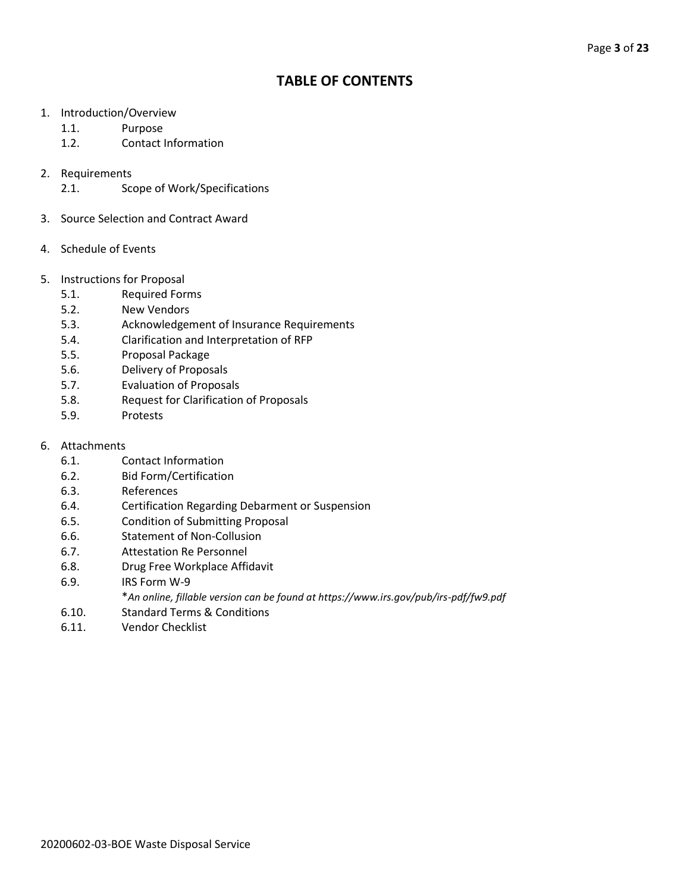## **TABLE OF CONTENTS**

- 1. Introduction/Overview
	- 1.1. Purpose
	- 1.2. Contact Information
- 2. Requirements
	- 2.1. Scope of Work/Specifications
- 3. Source Selection and Contract Award
- 4. Schedule of Events
- 5. Instructions for Proposal
	- 5.1. Required Forms
	- 5.2. New Vendors
	- 5.3. Acknowledgement of Insurance Requirements
	- 5.4. Clarification and Interpretation of RFP
	- 5.5. Proposal Package
	- 5.6. Delivery of Proposals
	- 5.7. Evaluation of Proposals
	- 5.8. Request for Clarification of Proposals
	- 5.9. Protests
- 6. Attachments
	- 6.1. Contact Information
	- 6.2. Bid Form/Certification
	- 6.3. References
	- 6.4. Certification Regarding Debarment or Suspension
	- 6.5. Condition of Submitting Proposal
	- 6.6. Statement of Non-Collusion
	- 6.7. Attestation Re Personnel
	- 6.8. Drug Free Workplace Affidavit
	- 6.9. IRS Form W-9
		- \**An online, fillable version can be found at https://www.irs.gov/pub/irs-pdf/fw9.pdf*
	- 6.10. Standard Terms & Conditions
	- 6.11. Vendor Checklist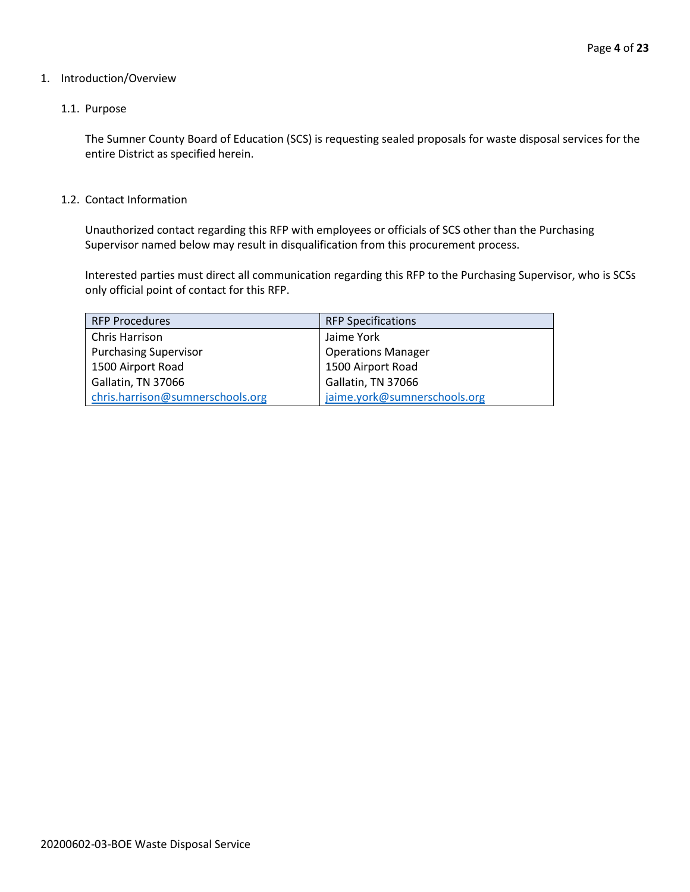#### 1. Introduction/Overview

#### 1.1. Purpose

The Sumner County Board of Education (SCS) is requesting sealed proposals for waste disposal services for the entire District as specified herein.

#### 1.2. Contact Information

Unauthorized contact regarding this RFP with employees or officials of SCS other than the Purchasing Supervisor named below may result in disqualification from this procurement process.

Interested parties must direct all communication regarding this RFP to the Purchasing Supervisor, who is SCSs only official point of contact for this RFP.

| <b>RFP Procedures</b>            | <b>RFP Specifications</b>    |
|----------------------------------|------------------------------|
| Chris Harrison                   | Jaime York                   |
| <b>Purchasing Supervisor</b>     | <b>Operations Manager</b>    |
| 1500 Airport Road                | 1500 Airport Road            |
| Gallatin, TN 37066               | Gallatin, TN 37066           |
| chris.harrison@sumnerschools.org | jaime.york@sumnerschools.org |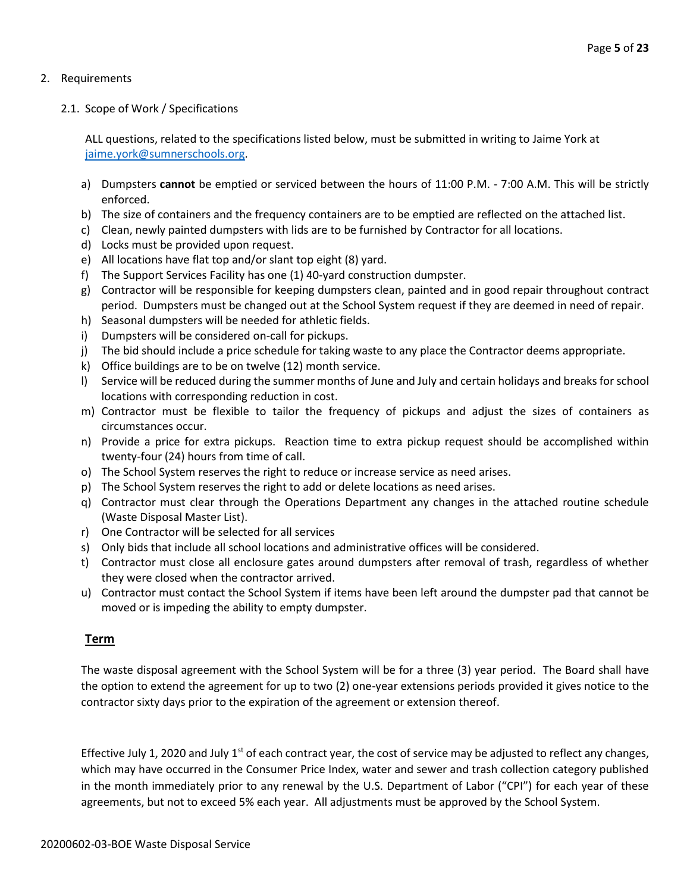#### 2. Requirements

2.1. Scope of Work / Specifications

ALL questions, related to the specifications listed below, must be submitted in writing to Jaime York at [jaime.york@sumnerschools.org.](mailto:jaime.york@sumnerschools.org)

- a) Dumpsters **cannot** be emptied or serviced between the hours of 11:00 P.M. 7:00 A.M. This will be strictly enforced.
- b) The size of containers and the frequency containers are to be emptied are reflected on the attached list.
- c) Clean, newly painted dumpsters with lids are to be furnished by Contractor for all locations.
- d) Locks must be provided upon request.
- e) All locations have flat top and/or slant top eight (8) yard.
- f) The Support Services Facility has one (1) 40-yard construction dumpster.
- g) Contractor will be responsible for keeping dumpsters clean, painted and in good repair throughout contract period. Dumpsters must be changed out at the School System request if they are deemed in need of repair.
- h) Seasonal dumpsters will be needed for athletic fields.
- i) Dumpsters will be considered on-call for pickups.
- j) The bid should include a price schedule for taking waste to any place the Contractor deems appropriate.
- k) Office buildings are to be on twelve (12) month service.
- l) Service will be reduced during the summer months of June and July and certain holidays and breaks for school locations with corresponding reduction in cost.
- m) Contractor must be flexible to tailor the frequency of pickups and adjust the sizes of containers as circumstances occur.
- n) Provide a price for extra pickups. Reaction time to extra pickup request should be accomplished within twenty-four (24) hours from time of call.
- o) The School System reserves the right to reduce or increase service as need arises.
- p) The School System reserves the right to add or delete locations as need arises.
- q) Contractor must clear through the Operations Department any changes in the attached routine schedule (Waste Disposal Master List).
- r) One Contractor will be selected for all services
- s) Only bids that include all school locations and administrative offices will be considered.
- t) Contractor must close all enclosure gates around dumpsters after removal of trash, regardless of whether they were closed when the contractor arrived.
- u) Contractor must contact the School System if items have been left around the dumpster pad that cannot be moved or is impeding the ability to empty dumpster.

#### **Term**

The waste disposal agreement with the School System will be for a three (3) year period. The Board shall have the option to extend the agreement for up to two (2) one-year extensions periods provided it gives notice to the contractor sixty days prior to the expiration of the agreement or extension thereof.

Effective July 1, 2020 and July  $1<sup>st</sup>$  of each contract year, the cost of service may be adjusted to reflect any changes, which may have occurred in the Consumer Price Index, water and sewer and trash collection category published in the month immediately prior to any renewal by the U.S. Department of Labor ("CPI") for each year of these agreements, but not to exceed 5% each year. All adjustments must be approved by the School System.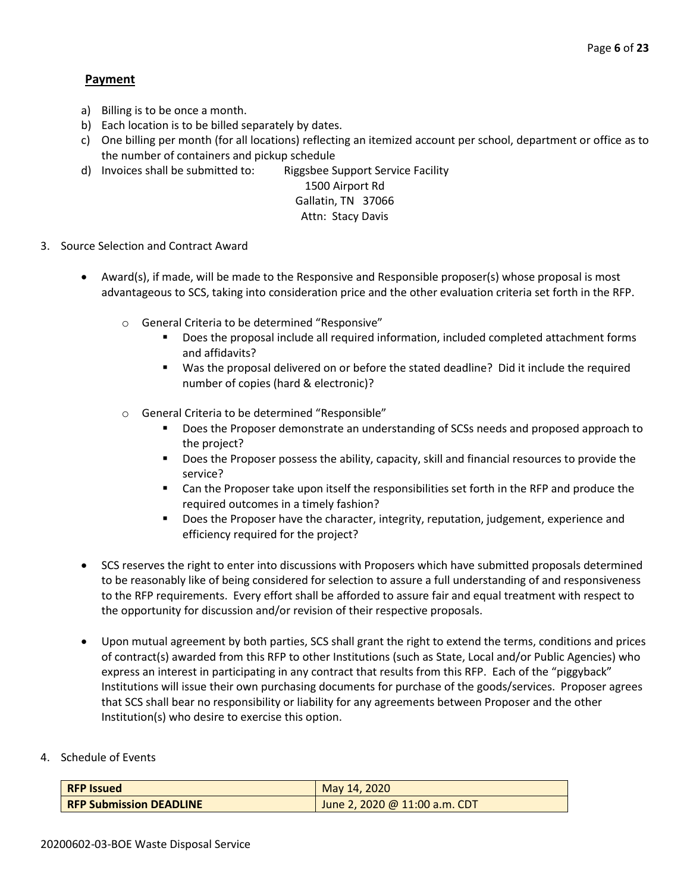### **Payment**

- a) Billing is to be once a month.
- b) Each location is to be billed separately by dates.
- c) One billing per month (for all locations) reflecting an itemized account per school, department or office as to the number of containers and pickup schedule
- d) Invoices shall be submitted to: Riggsbee Support Service Facility

## 1500 Airport Rd Gallatin, TN 37066

#### Attn: Stacy Davis

- 3. Source Selection and Contract Award
	- Award(s), if made, will be made to the Responsive and Responsible proposer(s) whose proposal is most advantageous to SCS, taking into consideration price and the other evaluation criteria set forth in the RFP.
		- o General Criteria to be determined "Responsive"
			- Does the proposal include all required information, included completed attachment forms and affidavits?
			- Was the proposal delivered on or before the stated deadline? Did it include the required number of copies (hard & electronic)?
		- o General Criteria to be determined "Responsible"
			- Does the Proposer demonstrate an understanding of SCSs needs and proposed approach to the project?
			- Does the Proposer possess the ability, capacity, skill and financial resources to provide the service?
			- Can the Proposer take upon itself the responsibilities set forth in the RFP and produce the required outcomes in a timely fashion?
			- Does the Proposer have the character, integrity, reputation, judgement, experience and efficiency required for the project?
	- SCS reserves the right to enter into discussions with Proposers which have submitted proposals determined to be reasonably like of being considered for selection to assure a full understanding of and responsiveness to the RFP requirements. Every effort shall be afforded to assure fair and equal treatment with respect to the opportunity for discussion and/or revision of their respective proposals.
	- Upon mutual agreement by both parties, SCS shall grant the right to extend the terms, conditions and prices of contract(s) awarded from this RFP to other Institutions (such as State, Local and/or Public Agencies) who express an interest in participating in any contract that results from this RFP. Each of the "piggyback" Institutions will issue their own purchasing documents for purchase of the goods/services. Proposer agrees that SCS shall bear no responsibility or liability for any agreements between Proposer and the other Institution(s) who desire to exercise this option.
- 4. Schedule of Events

| <b>RFP Issued</b>              | May 14, 2020                  |
|--------------------------------|-------------------------------|
| <b>RFP Submission DEADLINE</b> | June 2, 2020 @ 11:00 a.m. CDT |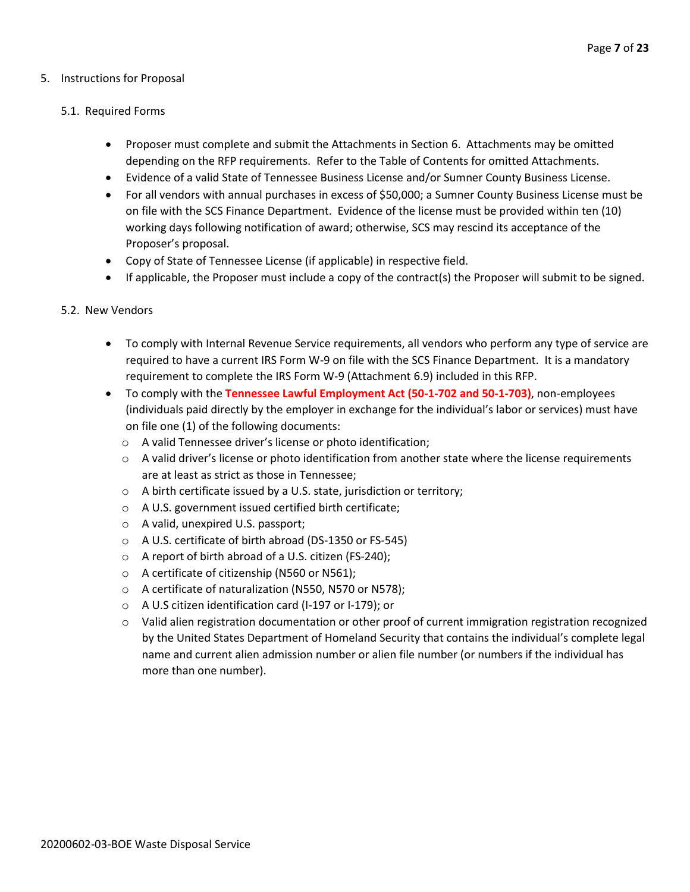#### 5. Instructions for Proposal

#### 5.1. Required Forms

- Proposer must complete and submit the Attachments in Section 6. Attachments may be omitted depending on the RFP requirements. Refer to the Table of Contents for omitted Attachments.
- Evidence of a valid State of Tennessee Business License and/or Sumner County Business License.
- For all vendors with annual purchases in excess of \$50,000; a Sumner County Business License must be on file with the SCS Finance Department. Evidence of the license must be provided within ten (10) working days following notification of award; otherwise, SCS may rescind its acceptance of the Proposer's proposal.
- Copy of State of Tennessee License (if applicable) in respective field.
- If applicable, the Proposer must include a copy of the contract(s) the Proposer will submit to be signed.

#### 5.2. New Vendors

- To comply with Internal Revenue Service requirements, all vendors who perform any type of service are required to have a current IRS Form W-9 on file with the SCS Finance Department. It is a mandatory requirement to complete the IRS Form W-9 (Attachment 6.9) included in this RFP.
- To comply with the **Tennessee Lawful Employment Act (50-1-702 and 50-1-703)**, non-employees (individuals paid directly by the employer in exchange for the individual's labor or services) must have on file one (1) of the following documents:
	- o A valid Tennessee driver's license or photo identification;
	- $\circ$  A valid driver's license or photo identification from another state where the license requirements are at least as strict as those in Tennessee;
	- o A birth certificate issued by a U.S. state, jurisdiction or territory;
	- o A U.S. government issued certified birth certificate;
	- o A valid, unexpired U.S. passport;
	- o A U.S. certificate of birth abroad (DS-1350 or FS-545)
	- o A report of birth abroad of a U.S. citizen (FS-240);
	- o A certificate of citizenship (N560 or N561);
	- o A certificate of naturalization (N550, N570 or N578);
	- o A U.S citizen identification card (I-197 or I-179); or
	- $\circ$  Valid alien registration documentation or other proof of current immigration registration recognized by the United States Department of Homeland Security that contains the individual's complete legal name and current alien admission number or alien file number (or numbers if the individual has more than one number).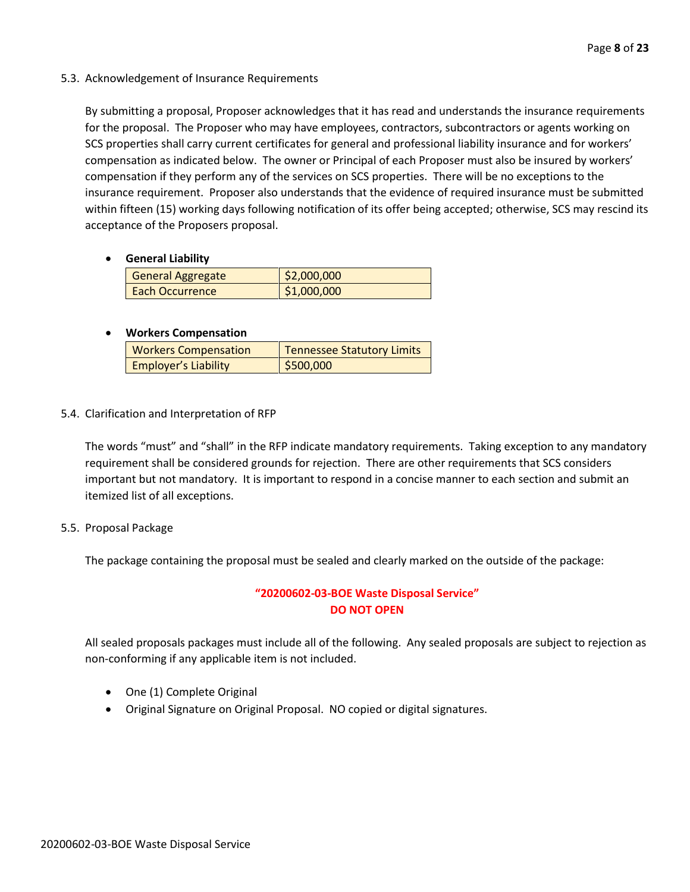5.3. Acknowledgement of Insurance Requirements

By submitting a proposal, Proposer acknowledges that it has read and understands the insurance requirements for the proposal. The Proposer who may have employees, contractors, subcontractors or agents working on SCS properties shall carry current certificates for general and professional liability insurance and for workers' compensation as indicated below. The owner or Principal of each Proposer must also be insured by workers' compensation if they perform any of the services on SCS properties. There will be no exceptions to the insurance requirement. Proposer also understands that the evidence of required insurance must be submitted within fifteen (15) working days following notification of its offer being accepted; otherwise, SCS may rescind its acceptance of the Proposers proposal.

• **General Liability**

| General Aggregate      | \$2,000,000 |
|------------------------|-------------|
| <b>Each Occurrence</b> | \$1,000,000 |

#### • **Workers Compensation**

| <b>Workers Compensation</b> | <b>Tennessee Statutory Limits</b> |
|-----------------------------|-----------------------------------|
| <b>Employer's Liability</b> | \$500,000                         |

5.4. Clarification and Interpretation of RFP

The words "must" and "shall" in the RFP indicate mandatory requirements. Taking exception to any mandatory requirement shall be considered grounds for rejection. There are other requirements that SCS considers important but not mandatory. It is important to respond in a concise manner to each section and submit an itemized list of all exceptions.

5.5. Proposal Package

The package containing the proposal must be sealed and clearly marked on the outside of the package:

#### **"20200602-03-BOE Waste Disposal Service" DO NOT OPEN**

All sealed proposals packages must include all of the following. Any sealed proposals are subject to rejection as non-conforming if any applicable item is not included.

- One (1) Complete Original
- Original Signature on Original Proposal. NO copied or digital signatures.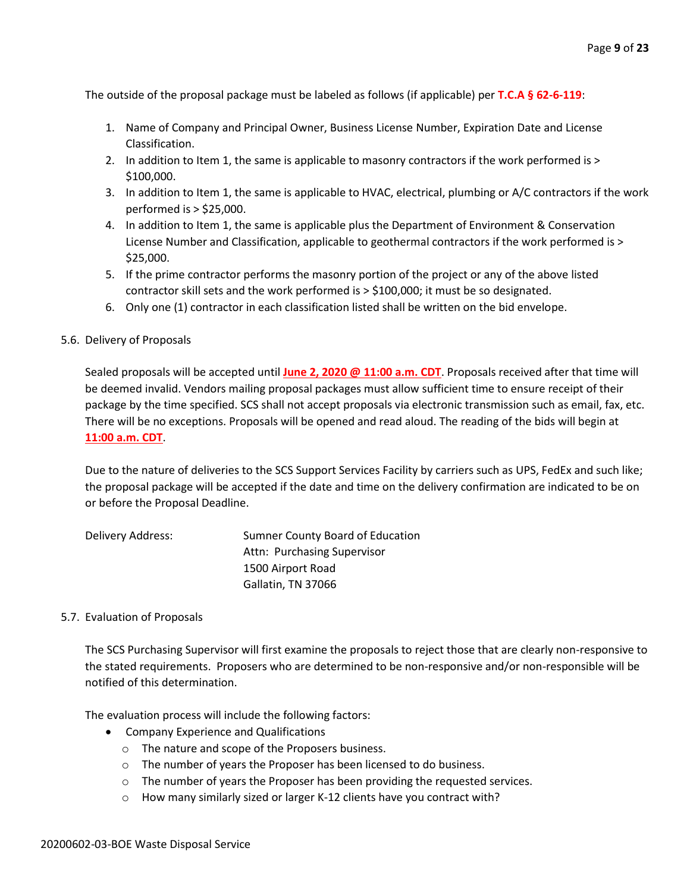The outside of the proposal package must be labeled as follows (if applicable) per **T.C.A § 62-6-119**:

- 1. Name of Company and Principal Owner, Business License Number, Expiration Date and License Classification.
- 2. In addition to Item 1, the same is applicable to masonry contractors if the work performed is > \$100,000.
- 3. In addition to Item 1, the same is applicable to HVAC, electrical, plumbing or A/C contractors if the work performed is > \$25,000.
- 4. In addition to Item 1, the same is applicable plus the Department of Environment & Conservation License Number and Classification, applicable to geothermal contractors if the work performed is > \$25,000.
- 5. If the prime contractor performs the masonry portion of the project or any of the above listed contractor skill sets and the work performed is > \$100,000; it must be so designated.
- 6. Only one (1) contractor in each classification listed shall be written on the bid envelope.

#### 5.6. Delivery of Proposals

Sealed proposals will be accepted until **June 2, 2020 @ 11:00 a.m. CDT**. Proposals received after that time will be deemed invalid. Vendors mailing proposal packages must allow sufficient time to ensure receipt of their package by the time specified. SCS shall not accept proposals via electronic transmission such as email, fax, etc. There will be no exceptions. Proposals will be opened and read aloud. The reading of the bids will begin at **11:00 a.m. CDT**.

Due to the nature of deliveries to the SCS Support Services Facility by carriers such as UPS, FedEx and such like; the proposal package will be accepted if the date and time on the delivery confirmation are indicated to be on or before the Proposal Deadline.

| Delivery Address: | Sumner County Board of Education |
|-------------------|----------------------------------|
|                   | Attn: Purchasing Supervisor      |
|                   | 1500 Airport Road                |
|                   | Gallatin, TN 37066               |

#### 5.7. Evaluation of Proposals

The SCS Purchasing Supervisor will first examine the proposals to reject those that are clearly non-responsive to the stated requirements. Proposers who are determined to be non-responsive and/or non-responsible will be notified of this determination.

The evaluation process will include the following factors:

- Company Experience and Qualifications
	- o The nature and scope of the Proposers business.
	- o The number of years the Proposer has been licensed to do business.
	- o The number of years the Proposer has been providing the requested services.
	- o How many similarly sized or larger K-12 clients have you contract with?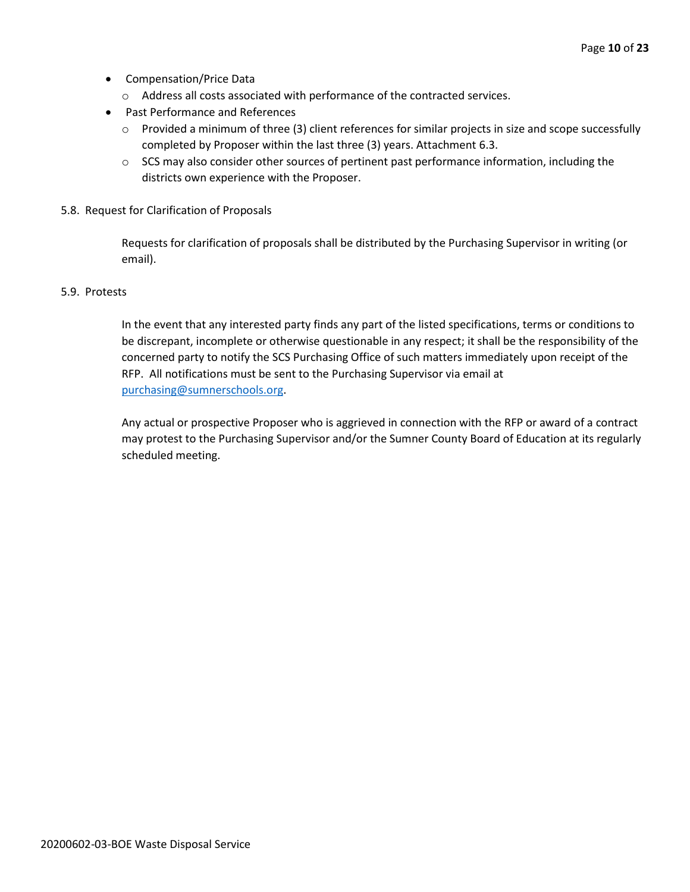- Compensation/Price Data
	- o Address all costs associated with performance of the contracted services.
- Past Performance and References
	- o Provided a minimum of three (3) client references for similar projects in size and scope successfully completed by Proposer within the last three (3) years. Attachment 6.3.
	- $\circ$  SCS may also consider other sources of pertinent past performance information, including the districts own experience with the Proposer.
- 5.8. Request for Clarification of Proposals

Requests for clarification of proposals shall be distributed by the Purchasing Supervisor in writing (or email).

#### 5.9. Protests

In the event that any interested party finds any part of the listed specifications, terms or conditions to be discrepant, incomplete or otherwise questionable in any respect; it shall be the responsibility of the concerned party to notify the SCS Purchasing Office of such matters immediately upon receipt of the RFP. All notifications must be sent to the Purchasing Supervisor via email at [purchasing@sumnerschools.org.](mailto:purchasing@sumnerschools.org)

Any actual or prospective Proposer who is aggrieved in connection with the RFP or award of a contract may protest to the Purchasing Supervisor and/or the Sumner County Board of Education at its regularly scheduled meeting.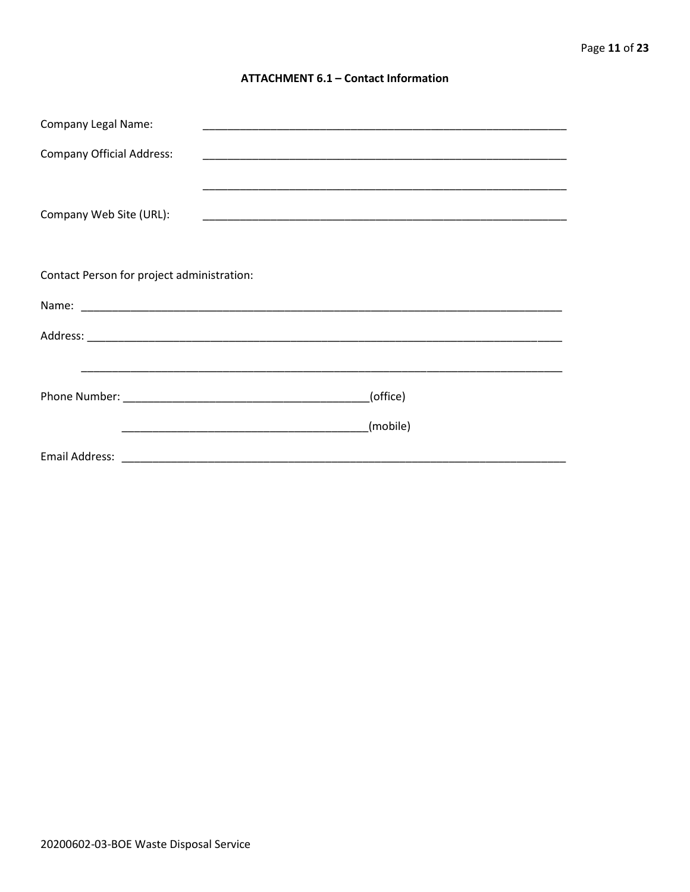#### **ATTACHMENT 6.1 - Contact Information**

| <b>Company Legal Name:</b>                 |          |
|--------------------------------------------|----------|
| <b>Company Official Address:</b>           |          |
|                                            |          |
| Company Web Site (URL):                    |          |
|                                            |          |
|                                            |          |
| Contact Person for project administration: |          |
|                                            |          |
|                                            |          |
|                                            |          |
|                                            | (office) |
|                                            |          |
|                                            | (mobile) |
|                                            |          |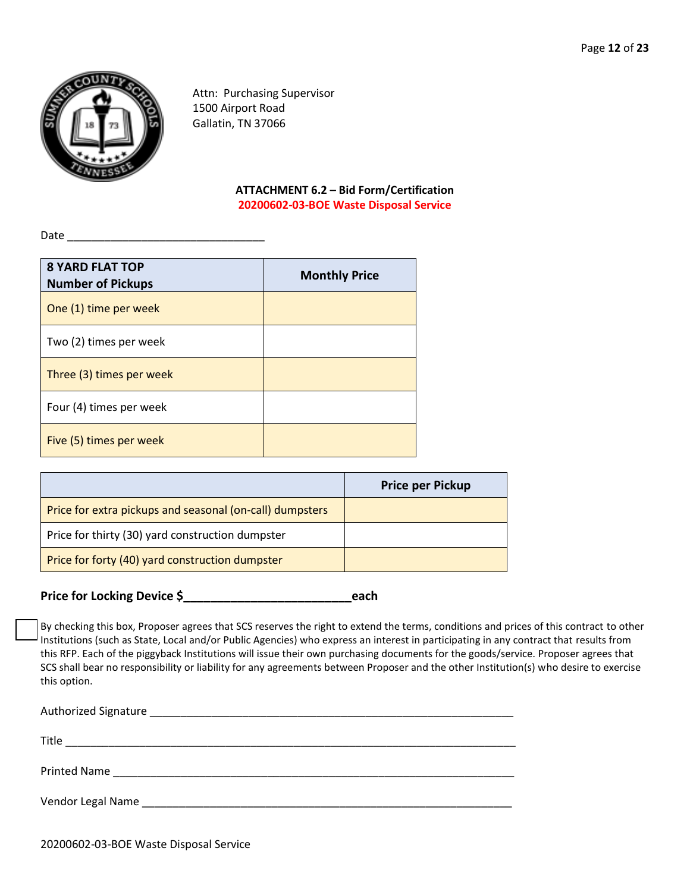

Attn: Purchasing Supervisor 1500 Airport Road Gallatin, TN 37066

> **ATTACHMENT 6.2 – Bid Form/Certification 20200602-03-BOE Waste Disposal Service**

Date

| <b>8 YARD FLAT TOP</b><br><b>Number of Pickups</b> | <b>Monthly Price</b> |
|----------------------------------------------------|----------------------|
| One (1) time per week                              |                      |
| Two (2) times per week                             |                      |
| Three (3) times per week                           |                      |
| Four (4) times per week                            |                      |
| Five (5) times per week                            |                      |

|                                                          | <b>Price per Pickup</b> |
|----------------------------------------------------------|-------------------------|
| Price for extra pickups and seasonal (on-call) dumpsters |                         |
| Price for thirty (30) yard construction dumpster         |                         |
| Price for forty (40) yard construction dumpster          |                         |

**Price for Locking Device \$\_\_\_\_\_\_\_\_\_\_\_\_\_\_\_\_\_\_\_\_\_\_\_\_\_each**

By checking this box, Proposer agrees that SCS reserves the right to extend the terms, conditions and prices of this contract to other Institutions (such as State, Local and/or Public Agencies) who express an interest in participating in any contract that results from this RFP. Each of the piggyback Institutions will issue their own purchasing documents for the goods/service. Proposer agrees that SCS shall bear no responsibility or liability for any agreements between Proposer and the other Institution(s) who desire to exercise this option.

| Title                                                                                                                                                                                                                          |
|--------------------------------------------------------------------------------------------------------------------------------------------------------------------------------------------------------------------------------|
| Printed Name 2008 2009 2010 2020 2020 2021 2021 2022 2021 2022 2021 2022 2022 2023 2024 2022 2022 2023 2024 20                                                                                                                 |
| Vendor Legal Name and the contract of the contract of the contract of the contract of the contract of the contract of the contract of the contract of the contract of the contract of the contract of the contract of the cont |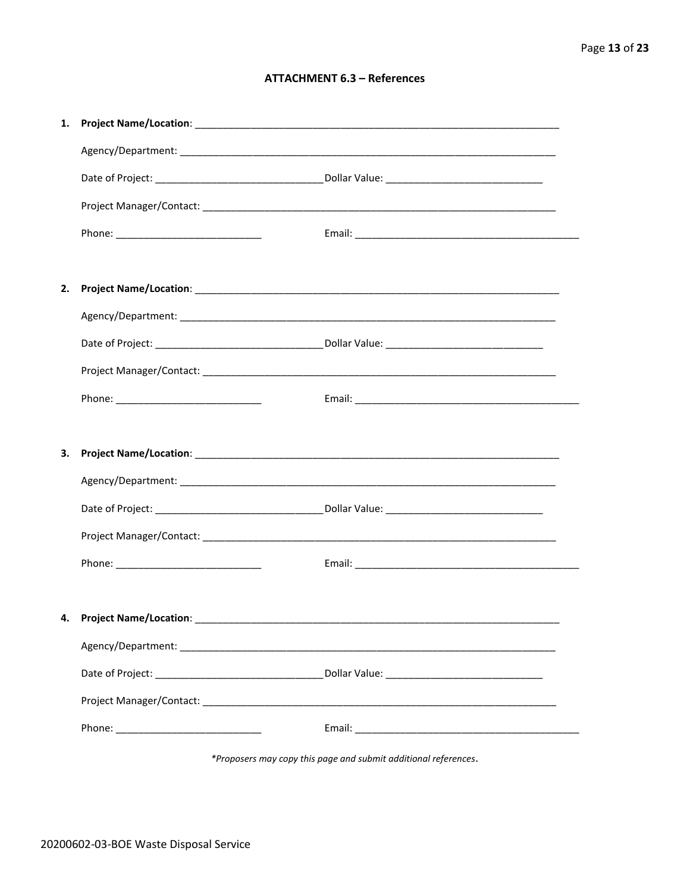#### **ATTACHMENT 6.3 - References**

| 1. |                                    |  |
|----|------------------------------------|--|
|    |                                    |  |
|    |                                    |  |
|    |                                    |  |
|    |                                    |  |
|    |                                    |  |
| 2. |                                    |  |
|    |                                    |  |
|    |                                    |  |
|    |                                    |  |
|    |                                    |  |
|    |                                    |  |
|    |                                    |  |
| 3. |                                    |  |
|    |                                    |  |
|    |                                    |  |
|    |                                    |  |
|    |                                    |  |
|    |                                    |  |
|    | 4. Project Name/Location: ________ |  |
|    |                                    |  |
|    |                                    |  |
|    |                                    |  |

\*Proposers may copy this page and submit additional references.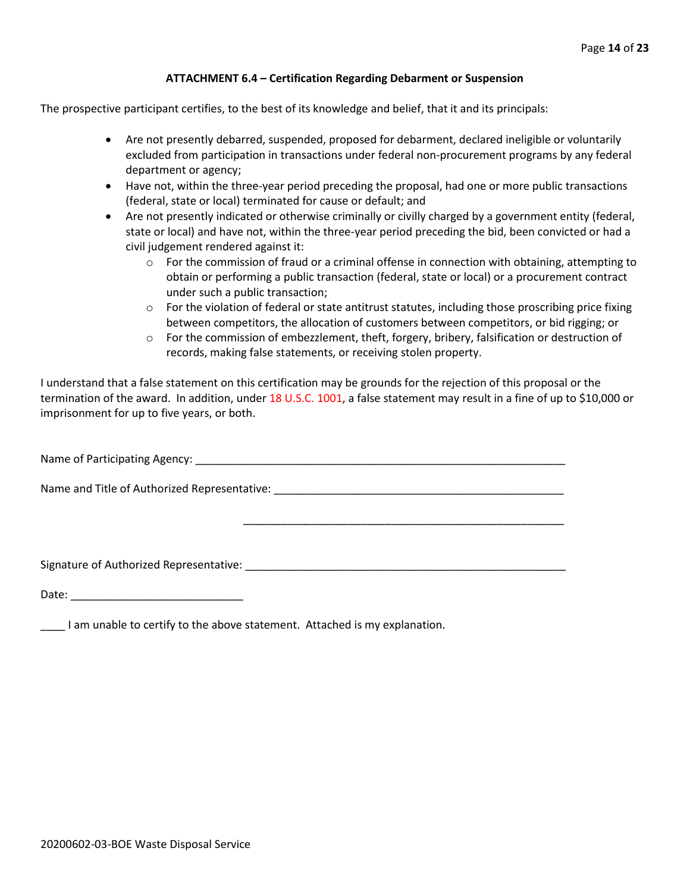#### **ATTACHMENT 6.4 – Certification Regarding Debarment or Suspension**

The prospective participant certifies, to the best of its knowledge and belief, that it and its principals:

- Are not presently debarred, suspended, proposed for debarment, declared ineligible or voluntarily excluded from participation in transactions under federal non-procurement programs by any federal department or agency;
- Have not, within the three-year period preceding the proposal, had one or more public transactions (federal, state or local) terminated for cause or default; and
- Are not presently indicated or otherwise criminally or civilly charged by a government entity (federal, state or local) and have not, within the three-year period preceding the bid, been convicted or had a civil judgement rendered against it:
	- $\circ$  For the commission of fraud or a criminal offense in connection with obtaining, attempting to obtain or performing a public transaction (federal, state or local) or a procurement contract under such a public transaction;
	- $\circ$  For the violation of federal or state antitrust statutes, including those proscribing price fixing between competitors, the allocation of customers between competitors, or bid rigging; or
	- $\circ$  For the commission of embezzlement, theft, forgery, bribery, falsification or destruction of records, making false statements, or receiving stolen property.

\_\_\_\_\_\_\_\_\_\_\_\_\_\_\_\_\_\_\_\_\_\_\_\_\_\_\_\_\_\_\_\_\_\_\_\_\_\_\_\_\_\_\_\_\_\_\_\_\_\_\_\_

I understand that a false statement on this certification may be grounds for the rejection of this proposal or the termination of the award. In addition, under 18 U.S.C. 1001, a false statement may result in a fine of up to \$10,000 or imprisonment for up to five years, or both.

Name of Participating Agency: \_\_\_\_\_\_\_\_\_\_\_\_\_\_\_\_\_\_\_\_\_\_\_\_\_\_\_\_\_\_\_\_\_\_\_\_\_\_\_\_\_\_\_\_\_\_\_\_\_\_\_\_\_\_\_\_\_\_\_\_

Name and Title of Authorized Representative: \_\_\_\_\_\_\_\_\_\_\_\_\_\_\_\_\_\_\_\_\_\_\_\_\_\_\_\_\_\_\_\_\_\_\_

Signature of Authorized Representative: \_\_\_\_\_\_\_\_\_\_\_\_\_\_\_\_\_\_\_\_\_\_\_\_\_\_\_\_\_\_\_\_\_\_\_\_\_\_\_\_\_\_\_\_\_\_\_\_\_\_\_\_

Date: \_\_\_\_\_\_\_\_\_\_\_\_\_\_\_\_\_\_\_\_\_\_\_\_\_\_\_\_

\_\_\_\_ I am unable to certify to the above statement. Attached is my explanation.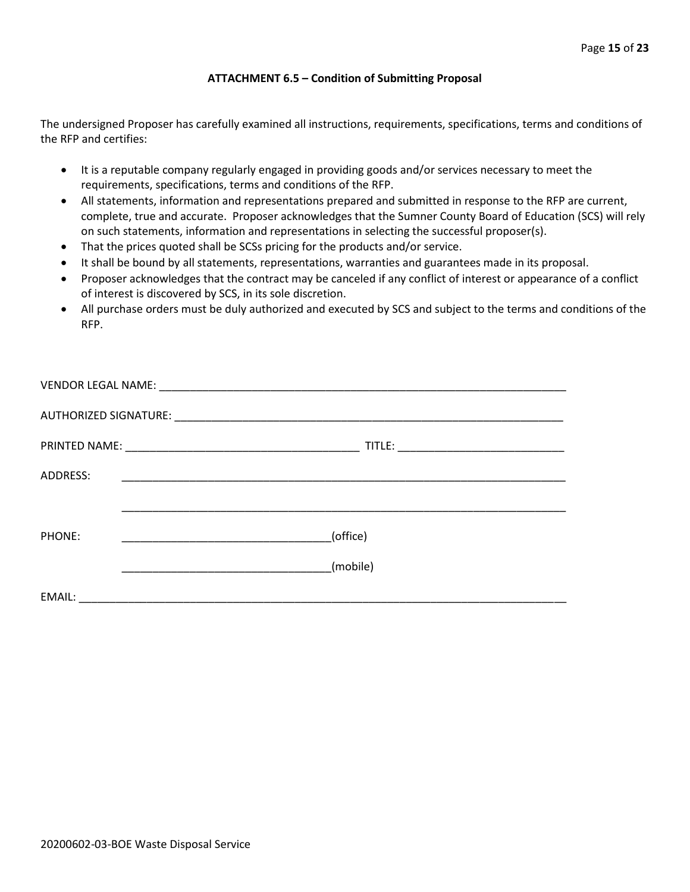#### **ATTACHMENT 6.5 – Condition of Submitting Proposal**

The undersigned Proposer has carefully examined all instructions, requirements, specifications, terms and conditions of the RFP and certifies:

- It is a reputable company regularly engaged in providing goods and/or services necessary to meet the requirements, specifications, terms and conditions of the RFP.
- All statements, information and representations prepared and submitted in response to the RFP are current, complete, true and accurate. Proposer acknowledges that the Sumner County Board of Education (SCS) will rely on such statements, information and representations in selecting the successful proposer(s).
- That the prices quoted shall be SCSs pricing for the products and/or service.
- It shall be bound by all statements, representations, warranties and guarantees made in its proposal.
- Proposer acknowledges that the contract may be canceled if any conflict of interest or appearance of a conflict of interest is discovered by SCS, in its sole discretion.
- All purchase orders must be duly authorized and executed by SCS and subject to the terms and conditions of the RFP.

| ADDRESS: |          |
|----------|----------|
|          |          |
| PHONE:   | (office) |
|          | (mobile) |
| EMAIL:   |          |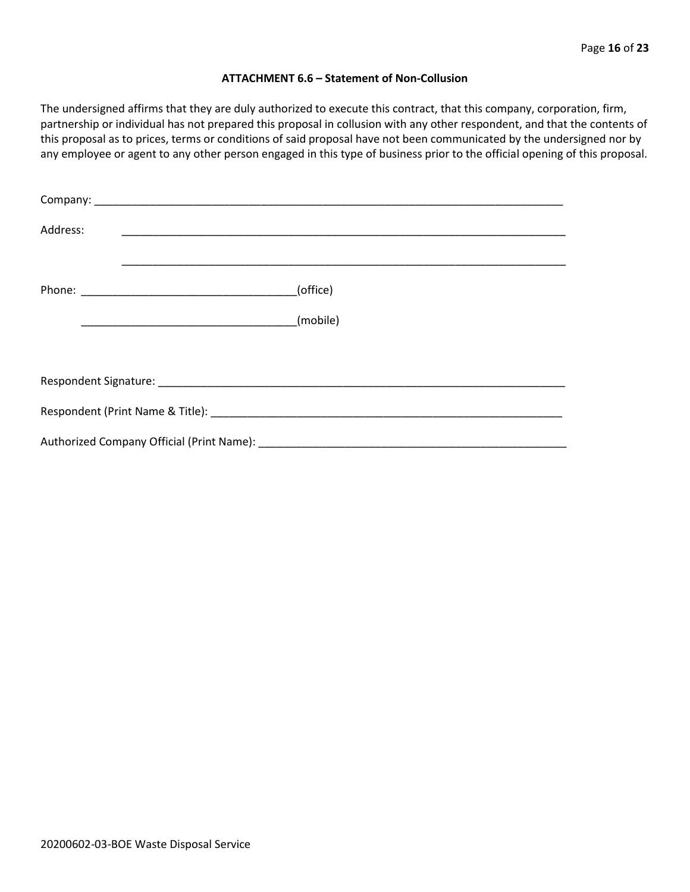#### **ATTACHMENT 6.6 – Statement of Non-Collusion**

The undersigned affirms that they are duly authorized to execute this contract, that this company, corporation, firm, partnership or individual has not prepared this proposal in collusion with any other respondent, and that the contents of this proposal as to prices, terms or conditions of said proposal have not been communicated by the undersigned nor by any employee or agent to any other person engaged in this type of business prior to the official opening of this proposal.

| Address: |          |
|----------|----------|
|          | (office) |
|          | (mobile) |
|          |          |
|          |          |
|          |          |
|          |          |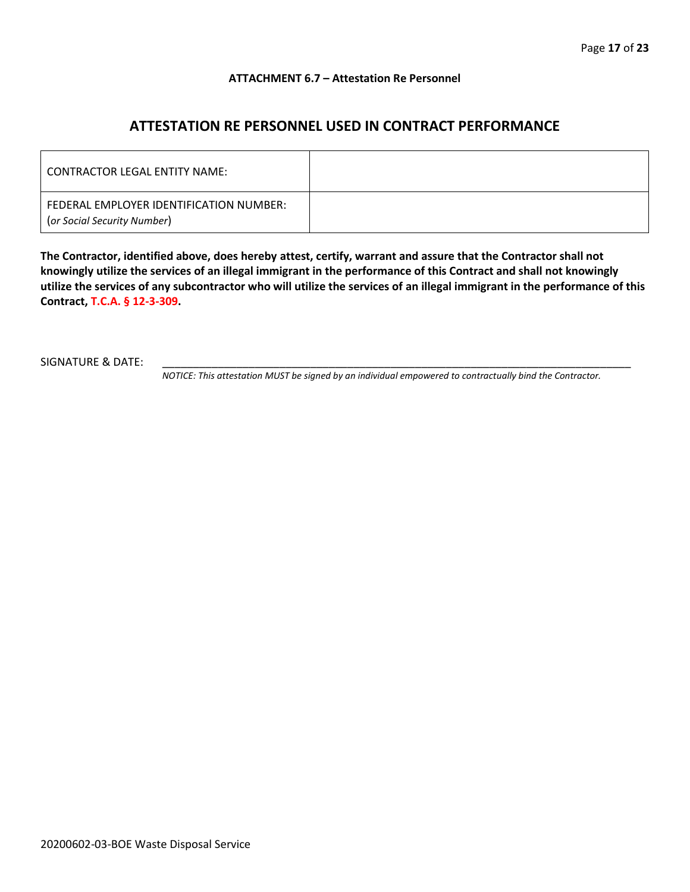#### **ATTACHMENT 6.7 – Attestation Re Personnel**

## **ATTESTATION RE PERSONNEL USED IN CONTRACT PERFORMANCE**

| CONTRACTOR LEGAL ENTITY NAME:                                          |  |
|------------------------------------------------------------------------|--|
| FEDERAL EMPLOYER IDENTIFICATION NUMBER:<br>(or Social Security Number) |  |

**The Contractor, identified above, does hereby attest, certify, warrant and assure that the Contractor shall not knowingly utilize the services of an illegal immigrant in the performance of this Contract and shall not knowingly utilize the services of any subcontractor who will utilize the services of an illegal immigrant in the performance of this Contract, T.C.A. § 12-3-309.**

SIGNATURE & DATE:

*NOTICE: This attestation MUST be signed by an individual empowered to contractually bind the Contractor.*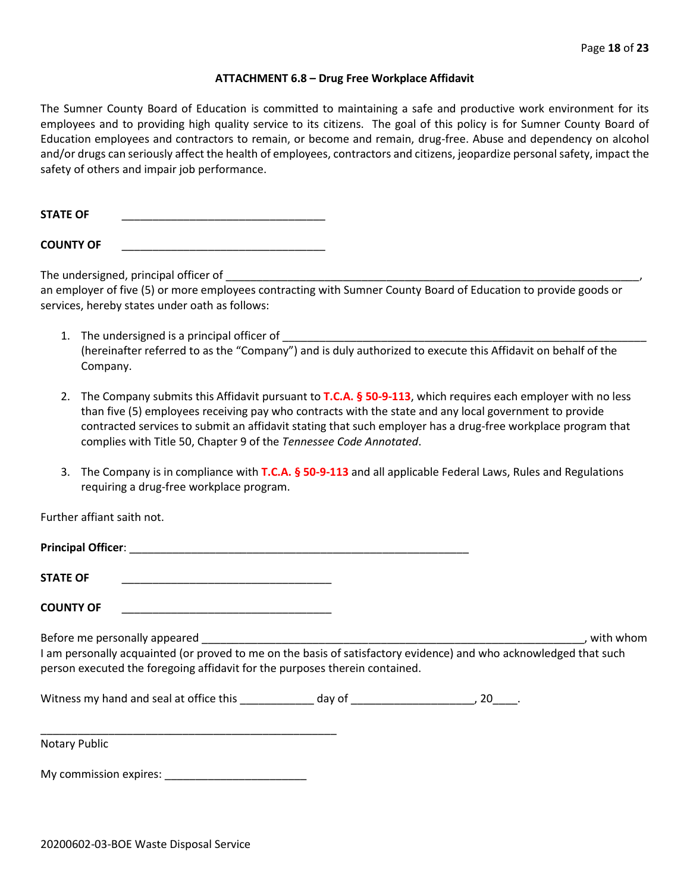#### **ATTACHMENT 6.8 – Drug Free Workplace Affidavit**

The Sumner County Board of Education is committed to maintaining a safe and productive work environment for its employees and to providing high quality service to its citizens. The goal of this policy is for Sumner County Board of Education employees and contractors to remain, or become and remain, drug-free. Abuse and dependency on alcohol and/or drugs can seriously affect the health of employees, contractors and citizens, jeopardize personal safety, impact the safety of others and impair job performance.

STATE OF

**COUNTY OF** \_\_\_\_\_\_\_\_\_\_\_\_\_\_\_\_\_\_\_\_\_\_\_\_\_\_\_\_\_\_\_\_\_

The undersigned, principal officer of

an employer of five (5) or more employees contracting with Sumner County Board of Education to provide goods or services, hereby states under oath as follows:

- 1. The undersigned is a principal officer of (hereinafter referred to as the "Company") and is duly authorized to execute this Affidavit on behalf of the Company.
- 2. The Company submits this Affidavit pursuant to **T.C.A. § 50-9-113**, which requires each employer with no less than five (5) employees receiving pay who contracts with the state and any local government to provide contracted services to submit an affidavit stating that such employer has a drug-free workplace program that complies with Title 50, Chapter 9 of the *Tennessee Code Annotated*.
- 3. The Company is in compliance with **T.C.A. § 50-9-113** and all applicable Federal Laws, Rules and Regulations requiring a drug-free workplace program.

Further affiant saith not.

| <b>Principal Officer:</b> |  |
|---------------------------|--|
| <b>STATE OF</b>           |  |

**COUNTY OF** \_\_\_\_\_\_\_\_\_\_\_\_\_\_\_\_\_\_\_\_\_\_\_\_\_\_\_\_\_\_\_\_\_\_

Before me personally appeared \_\_\_\_\_\_\_\_\_\_\_\_\_\_\_\_\_\_\_\_\_\_\_\_\_\_\_\_\_\_\_\_\_\_\_\_\_\_\_\_\_\_\_\_\_\_\_\_\_\_\_\_\_\_\_\_\_\_\_\_\_\_, with whom I am personally acquainted (or proved to me on the basis of satisfactory evidence) and who acknowledged that such person executed the foregoing affidavit for the purposes therein contained.

Witness my hand and seal at office this \_\_\_\_\_\_\_\_\_\_\_\_\_ day of \_\_\_\_\_\_\_\_\_\_\_\_\_\_\_\_\_\_\_\_\_, 20\_\_\_\_.

\_\_\_\_\_\_\_\_\_\_\_\_\_\_\_\_\_\_\_\_\_\_\_\_\_\_\_\_\_\_\_\_\_\_\_\_\_\_\_\_\_\_\_\_\_\_\_\_ Notary Public

My commission expires: \_\_\_\_\_\_\_\_\_\_\_\_\_\_\_\_\_\_\_\_\_\_\_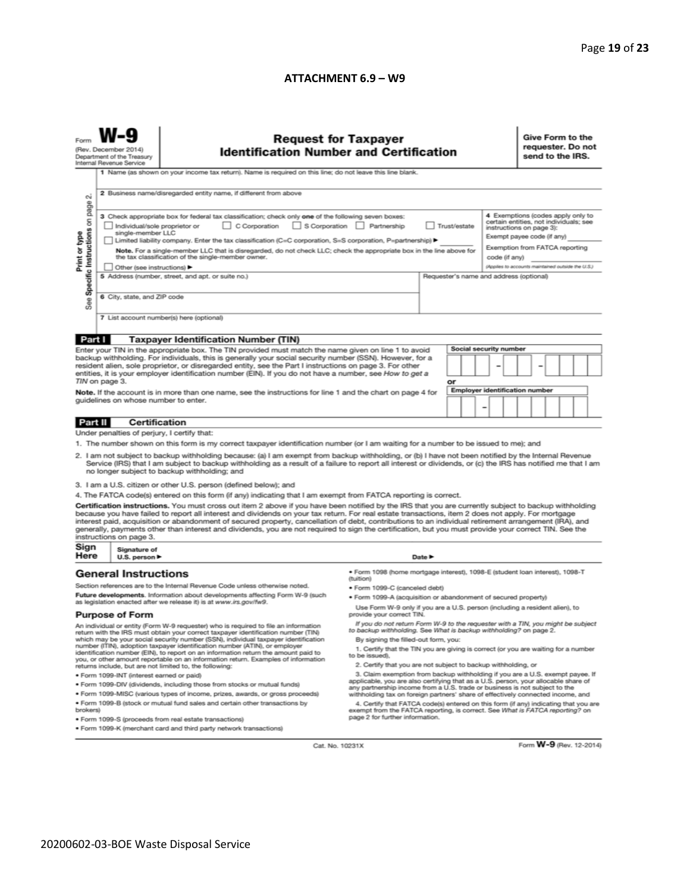#### **ATTACHMENT 6.9 – W9**

|                                                                                                                                                                                                                                                                                                                                                                                                                                                                                                                                                                                                                    | <b>Request for Taxpayer</b><br>(Rev. December 2014)<br><b>Identification Number and Certification</b><br>Department of the Treasury<br>Internal Revenue Service<br>1 Name (as shown on your income tax return). Name is required on this line; do not leave this line blank.                                                                                                                                                                                                                                                                                                                                                                                                                                                                                                                                        |                                                                                                                                                                                                                                                                                                                                                                                                                                                                                                                                                                                                                                                                                                                                                                                                                                                                                                                                                                                                                                                                                                                                                                                                                                                                                                                                     |                                                                                                                                                                                                                                                                                                                                                                                                                                                                                                                                                                              |        |    |  | Give Form to the<br>requester. Do not<br>send to the IRS. |                                                                                                                                                                                                                              |  |  |  |  |
|--------------------------------------------------------------------------------------------------------------------------------------------------------------------------------------------------------------------------------------------------------------------------------------------------------------------------------------------------------------------------------------------------------------------------------------------------------------------------------------------------------------------------------------------------------------------------------------------------------------------|---------------------------------------------------------------------------------------------------------------------------------------------------------------------------------------------------------------------------------------------------------------------------------------------------------------------------------------------------------------------------------------------------------------------------------------------------------------------------------------------------------------------------------------------------------------------------------------------------------------------------------------------------------------------------------------------------------------------------------------------------------------------------------------------------------------------|-------------------------------------------------------------------------------------------------------------------------------------------------------------------------------------------------------------------------------------------------------------------------------------------------------------------------------------------------------------------------------------------------------------------------------------------------------------------------------------------------------------------------------------------------------------------------------------------------------------------------------------------------------------------------------------------------------------------------------------------------------------------------------------------------------------------------------------------------------------------------------------------------------------------------------------------------------------------------------------------------------------------------------------------------------------------------------------------------------------------------------------------------------------------------------------------------------------------------------------------------------------------------------------------------------------------------------------|------------------------------------------------------------------------------------------------------------------------------------------------------------------------------------------------------------------------------------------------------------------------------------------------------------------------------------------------------------------------------------------------------------------------------------------------------------------------------------------------------------------------------------------------------------------------------|--------|----|--|-----------------------------------------------------------|------------------------------------------------------------------------------------------------------------------------------------------------------------------------------------------------------------------------------|--|--|--|--|
| N<br>Specific Instructions on page<br>Print or type<br>See                                                                                                                                                                                                                                                                                                                                                                                                                                                                                                                                                         | 2 Business name/disregarded entity name, if different from above<br>3 Check appropriate box for federal tax classification; check only one of the following seven boxes:<br>C Corporation<br>S Corporation Partnership<br>Trust/estate<br>Individual/sole proprietor or<br>single-member LLC<br>Limited liability company. Enter the tax classification (C=C corporation, S=S corporation, P=partnership) ▶<br>Note. For a single-member LLC that is disregarded, do not check LLC; check the appropriate box in the line above for<br>the tax classification of the single-member owner.<br>code (if any)<br>Other (see instructions) ▶<br>5 Address (number, street, and apt. or suite no.)<br>Requester's name and address (optional)<br>6 City, state, and ZIP code<br>7 List account number(s) here (optional) |                                                                                                                                                                                                                                                                                                                                                                                                                                                                                                                                                                                                                                                                                                                                                                                                                                                                                                                                                                                                                                                                                                                                                                                                                                                                                                                                     |                                                                                                                                                                                                                                                                                                                                                                                                                                                                                                                                                                              |        |    |  |                                                           | 4 Exemptions (codes apply only to<br>certain entities, not individuals; see<br>instructions on page 3):<br>Exempt payee code (if any)<br>Exemption from FATCA reporting<br>(Applies to accounts maintained outside the U.S.) |  |  |  |  |
|                                                                                                                                                                                                                                                                                                                                                                                                                                                                                                                                                                                                                    |                                                                                                                                                                                                                                                                                                                                                                                                                                                                                                                                                                                                                                                                                                                                                                                                                     |                                                                                                                                                                                                                                                                                                                                                                                                                                                                                                                                                                                                                                                                                                                                                                                                                                                                                                                                                                                                                                                                                                                                                                                                                                                                                                                                     |                                                                                                                                                                                                                                                                                                                                                                                                                                                                                                                                                                              |        |    |  |                                                           |                                                                                                                                                                                                                              |  |  |  |  |
| Part I                                                                                                                                                                                                                                                                                                                                                                                                                                                                                                                                                                                                             | TIN on page 3.<br>guidelines on whose number to enter.                                                                                                                                                                                                                                                                                                                                                                                                                                                                                                                                                                                                                                                                                                                                                              | <b>Taxpayer Identification Number (TIN)</b><br>Enter your TIN in the appropriate box. The TIN provided must match the name given on line 1 to avoid<br>backup withholding. For individuals, this is generally your social security number (SSN). However, for a<br>resident alien, sole proprietor, or disregarded entity, see the Part I instructions on page 3. For other<br>entities, it is your employer identification number (EIN). If you do not have a number, see How to get a<br>Note. If the account is in more than one name, see the instructions for line 1 and the chart on page 4 for                                                                                                                                                                                                                                                                                                                                                                                                                                                                                                                                                                                                                                                                                                                               |                                                                                                                                                                                                                                                                                                                                                                                                                                                                                                                                                                              |        | or |  | Social security number<br>Employer identification number  |                                                                                                                                                                                                                              |  |  |  |  |
|                                                                                                                                                                                                                                                                                                                                                                                                                                                                                                                                                                                                                    |                                                                                                                                                                                                                                                                                                                                                                                                                                                                                                                                                                                                                                                                                                                                                                                                                     |                                                                                                                                                                                                                                                                                                                                                                                                                                                                                                                                                                                                                                                                                                                                                                                                                                                                                                                                                                                                                                                                                                                                                                                                                                                                                                                                     |                                                                                                                                                                                                                                                                                                                                                                                                                                                                                                                                                                              |        |    |  | -                                                         |                                                                                                                                                                                                                              |  |  |  |  |
| Part II                                                                                                                                                                                                                                                                                                                                                                                                                                                                                                                                                                                                            | <b>Certification</b><br>Under penalties of perjury, I certify that:                                                                                                                                                                                                                                                                                                                                                                                                                                                                                                                                                                                                                                                                                                                                                 |                                                                                                                                                                                                                                                                                                                                                                                                                                                                                                                                                                                                                                                                                                                                                                                                                                                                                                                                                                                                                                                                                                                                                                                                                                                                                                                                     |                                                                                                                                                                                                                                                                                                                                                                                                                                                                                                                                                                              |        |    |  |                                                           |                                                                                                                                                                                                                              |  |  |  |  |
|                                                                                                                                                                                                                                                                                                                                                                                                                                                                                                                                                                                                                    | instructions on page 3.                                                                                                                                                                                                                                                                                                                                                                                                                                                                                                                                                                                                                                                                                                                                                                                             | 1. The number shown on this form is my correct taxpayer identification number (or I am waiting for a number to be issued to me); and<br>2. I am not subject to backup withholding because: (a) I am exempt from backup withholding, or (b) I have not been notified by the Internal Revenue<br>Service (IRS) that I am subject to backup withholding as a result of a failure to report all interest or dividends, or (c) the IRS has notified me that I am<br>no longer subject to backup withholding; and<br>3. I am a U.S. citizen or other U.S. person (defined below); and<br>4. The FATCA code(s) entered on this form (if any) indicating that I am exempt from FATCA reporting is correct.<br>Certification instructions. You must cross out item 2 above if you have been notified by the IRS that you are currently subject to backup withholding<br>because you have failed to report all interest and dividends on your tax return. For real estate transactions, item 2 does not apply. For mortgage<br>interest paid, acquisition or abandonment of secured property, cancellation of debt, contributions to an individual retirement arrangement (IRA), and<br>generally, payments other than interest and dividends, you are not required to sign the certification, but you must provide your correct TIN. See the |                                                                                                                                                                                                                                                                                                                                                                                                                                                                                                                                                                              |        |    |  |                                                           |                                                                                                                                                                                                                              |  |  |  |  |
| Sign                                                                                                                                                                                                                                                                                                                                                                                                                                                                                                                                                                                                               | Signature of                                                                                                                                                                                                                                                                                                                                                                                                                                                                                                                                                                                                                                                                                                                                                                                                        |                                                                                                                                                                                                                                                                                                                                                                                                                                                                                                                                                                                                                                                                                                                                                                                                                                                                                                                                                                                                                                                                                                                                                                                                                                                                                                                                     |                                                                                                                                                                                                                                                                                                                                                                                                                                                                                                                                                                              |        |    |  |                                                           |                                                                                                                                                                                                                              |  |  |  |  |
| Here                                                                                                                                                                                                                                                                                                                                                                                                                                                                                                                                                                                                               | U.S. person ▶<br><b>General Instructions</b>                                                                                                                                                                                                                                                                                                                                                                                                                                                                                                                                                                                                                                                                                                                                                                        | Section references are to the Internal Revenue Code unless otherwise noted.                                                                                                                                                                                                                                                                                                                                                                                                                                                                                                                                                                                                                                                                                                                                                                                                                                                                                                                                                                                                                                                                                                                                                                                                                                                         | · Form 1098 (home mortgage interest), 1098-E (student Ioan interest), 1098-T<br>(tuition)<br>• Form 1099-C (canceled debt)                                                                                                                                                                                                                                                                                                                                                                                                                                                   | Date P |    |  |                                                           |                                                                                                                                                                                                                              |  |  |  |  |
| Future developments. Information about developments affecting Form W-9 (such<br>as legislation enacted after we release it) is at www.irs.gov/fw9.<br><b>Purpose of Form</b><br>An individual or entity (Form W-9 requester) who is required to file an information<br>return with the IRS must obtain your correct taxpayer identification number (TIN)<br>which may be your social security number (SSN), individual taxpayer identification<br>number (ITIN), adoption taxpayer identification number (ATIN), or employer<br>identification number (EIN), to report on an information return the amount paid to |                                                                                                                                                                                                                                                                                                                                                                                                                                                                                                                                                                                                                                                                                                                                                                                                                     | . Form 1099-A (acquisition or abandonment of secured property)<br>Use Form W-9 only if you are a U.S. person (including a resident alien), to<br>provide your correct TIN.<br>If you do not return Form W-9 to the requester with a TIN, you might be subject<br>to backup withholding. See What is backup withholding? on page 2.<br>By signing the filled-out form, you:<br>1. Certify that the TIN you are giving is correct (or you are waiting for a number<br>to be issued).                                                                                                                                                                                                                                                                                                                                                                                                                                                                                                                                                                                                                                                                                                                                                                                                                                                  |                                                                                                                                                                                                                                                                                                                                                                                                                                                                                                                                                                              |        |    |  |                                                           |                                                                                                                                                                                                                              |  |  |  |  |
| you, or other amount reportable on an information return. Examples of information<br>returns include, but are not limited to, the following:<br>· Form 1099-INT (interest earned or paid)<br>. Form 1099-DIV (dividends, including those from stocks or mutual funds)<br>* Form 1099-MISC (various types of income, prizes, awards, or gross proceeds)<br>. Form 1099-B (stock or mutual fund sales and certain other transactions by<br>brokers)                                                                                                                                                                  |                                                                                                                                                                                                                                                                                                                                                                                                                                                                                                                                                                                                                                                                                                                                                                                                                     |                                                                                                                                                                                                                                                                                                                                                                                                                                                                                                                                                                                                                                                                                                                                                                                                                                                                                                                                                                                                                                                                                                                                                                                                                                                                                                                                     | 2. Certify that you are not subject to backup withholding, or<br>3. Claim exemption from backup withholding if you are a U.S. exempt payee. If<br>applicable, you are also certifying that as a U.S. person, your allocable share of<br>any partnership income from a U.S. trade or business is not subject to the<br>withholding tax on foreign partners' share of effectively connected income, and<br>4. Certify that FATCA code(s) entered on this form (if any) indicating that you are<br>exempt from the FATCA reporting, is correct. See What is FATCA reporting? on |        |    |  |                                                           |                                                                                                                                                                                                                              |  |  |  |  |
|                                                                                                                                                                                                                                                                                                                                                                                                                                                                                                                                                                                                                    | · Form 1099-S (proceeds from real estate transactions)<br>. Form 1099-K (merchant card and third party network transactions)                                                                                                                                                                                                                                                                                                                                                                                                                                                                                                                                                                                                                                                                                        | page 2 for further information.                                                                                                                                                                                                                                                                                                                                                                                                                                                                                                                                                                                                                                                                                                                                                                                                                                                                                                                                                                                                                                                                                                                                                                                                                                                                                                     |                                                                                                                                                                                                                                                                                                                                                                                                                                                                                                                                                                              |        |    |  |                                                           |                                                                                                                                                                                                                              |  |  |  |  |

Cat. No. 10231X

Form W-9 (Rev. 12-2014)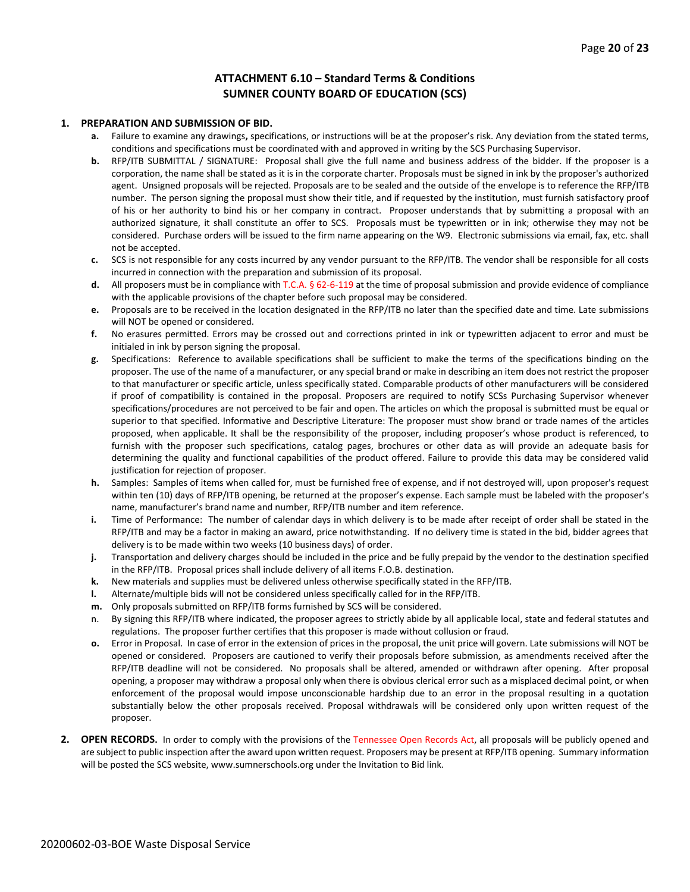#### **ATTACHMENT 6.10 – Standard Terms & Conditions SUMNER COUNTY BOARD OF EDUCATION (SCS)**

#### **1. PREPARATION AND SUBMISSION OF BID.**

- **a.** Failure to examine any drawings**,** specifications, or instructions will be at the proposer's risk. Any deviation from the stated terms, conditions and specifications must be coordinated with and approved in writing by the SCS Purchasing Supervisor.
- **b.** RFP/ITB SUBMITTAL / SIGNATURE: Proposal shall give the full name and business address of the bidder. If the proposer is a corporation, the name shall be stated as it is in the corporate charter. Proposals must be signed in ink by the proposer's authorized agent. Unsigned proposals will be rejected. Proposals are to be sealed and the outside of the envelope is to reference the RFP/ITB number. The person signing the proposal must show their title, and if requested by the institution, must furnish satisfactory proof of his or her authority to bind his or her company in contract. Proposer understands that by submitting a proposal with an authorized signature, it shall constitute an offer to SCS. Proposals must be typewritten or in ink; otherwise they may not be considered. Purchase orders will be issued to the firm name appearing on the W9. Electronic submissions via email, fax, etc. shall not be accepted.
- **c.** SCS is not responsible for any costs incurred by any vendor pursuant to the RFP/ITB. The vendor shall be responsible for all costs incurred in connection with the preparation and submission of its proposal.
- **d.** All proposers must be in compliance with T.C.A. § 62-6-119 at the time of proposal submission and provide evidence of compliance with the applicable provisions of the chapter before such proposal may be considered.
- **e.** Proposals are to be received in the location designated in the RFP/ITB no later than the specified date and time. Late submissions will NOT be opened or considered.
- **f.** No erasures permitted. Errors may be crossed out and corrections printed in ink or typewritten adjacent to error and must be initialed in ink by person signing the proposal.
- **g.** Specifications: Reference to available specifications shall be sufficient to make the terms of the specifications binding on the proposer. The use of the name of a manufacturer, or any special brand or make in describing an item does not restrict the proposer to that manufacturer or specific article, unless specifically stated. Comparable products of other manufacturers will be considered if proof of compatibility is contained in the proposal. Proposers are required to notify SCSs Purchasing Supervisor whenever specifications/procedures are not perceived to be fair and open. The articles on which the proposal is submitted must be equal or superior to that specified. Informative and Descriptive Literature: The proposer must show brand or trade names of the articles proposed, when applicable. It shall be the responsibility of the proposer, including proposer's whose product is referenced, to furnish with the proposer such specifications, catalog pages, brochures or other data as will provide an adequate basis for determining the quality and functional capabilities of the product offered. Failure to provide this data may be considered valid justification for rejection of proposer.
- **h.** Samples: Samples of items when called for, must be furnished free of expense, and if not destroyed will, upon proposer's request within ten (10) days of RFP/ITB opening, be returned at the proposer's expense. Each sample must be labeled with the proposer's name, manufacturer's brand name and number, RFP/ITB number and item reference.
- **i.** Time of Performance: The number of calendar days in which delivery is to be made after receipt of order shall be stated in the RFP/ITB and may be a factor in making an award, price notwithstanding. If no delivery time is stated in the bid, bidder agrees that delivery is to be made within two weeks (10 business days) of order.
- **j.** Transportation and delivery charges should be included in the price and be fully prepaid by the vendor to the destination specified in the RFP/ITB. Proposal prices shall include delivery of all items F.O.B. destination.
- **k.** New materials and supplies must be delivered unless otherwise specifically stated in the RFP/ITB.
- **l.** Alternate/multiple bids will not be considered unless specifically called for in the RFP/ITB.
- **m.** Only proposals submitted on RFP/ITB forms furnished by SCS will be considered.
- n. By signing this RFP/ITB where indicated, the proposer agrees to strictly abide by all applicable local, state and federal statutes and regulations. The proposer further certifies that this proposer is made without collusion or fraud.
- **o.** Error in Proposal. In case of error in the extension of prices in the proposal, the unit price will govern. Late submissions will NOT be opened or considered. Proposers are cautioned to verify their proposals before submission, as amendments received after the RFP/ITB deadline will not be considered. No proposals shall be altered, amended or withdrawn after opening. After proposal opening, a proposer may withdraw a proposal only when there is obvious clerical error such as a misplaced decimal point, or when enforcement of the proposal would impose unconscionable hardship due to an error in the proposal resulting in a quotation substantially below the other proposals received. Proposal withdrawals will be considered only upon written request of the proposer.
- **2. OPEN RECORDS.** In order to comply with the provisions of the Tennessee Open Records Act, all proposals will be publicly opened and are subject to public inspection after the award upon written request. Proposers may be present at RFP/ITB opening. Summary information will be posted the SCS website, www.sumnerschools.org under the Invitation to Bid link.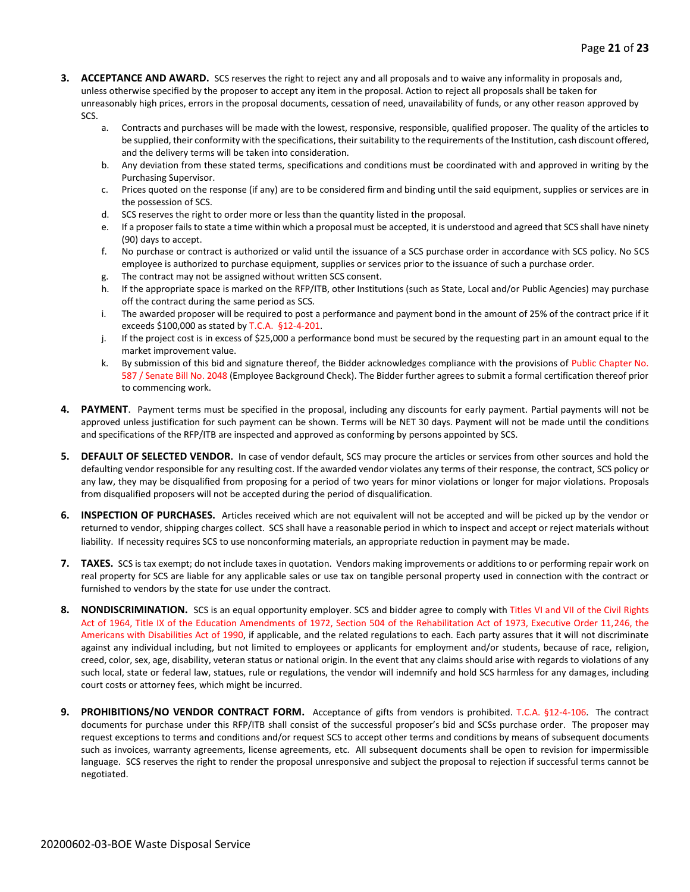- **3. ACCEPTANCE AND AWARD.** SCS reserves the right to reject any and all proposals and to waive any informality in proposals and, unless otherwise specified by the proposer to accept any item in the proposal. Action to reject all proposals shall be taken for unreasonably high prices, errors in the proposal documents, cessation of need, unavailability of funds, or any other reason approved by SCS.
	- a. Contracts and purchases will be made with the lowest, responsive, responsible, qualified proposer. The quality of the articles to be supplied, their conformity with the specifications, their suitability to the requirements of the Institution, cash discount offered, and the delivery terms will be taken into consideration.
	- b. Any deviation from these stated terms, specifications and conditions must be coordinated with and approved in writing by the Purchasing Supervisor.
	- c. Prices quoted on the response (if any) are to be considered firm and binding until the said equipment, supplies or services are in the possession of SCS.
	- d. SCS reserves the right to order more or less than the quantity listed in the proposal.
	- e. If a proposer fails to state a time within which a proposal must be accepted, it is understood and agreed that SCS shall have ninety (90) days to accept.
	- f. No purchase or contract is authorized or valid until the issuance of a SCS purchase order in accordance with SCS policy. No SCS employee is authorized to purchase equipment, supplies or services prior to the issuance of such a purchase order.
	- g. The contract may not be assigned without written SCS consent.
	- h. If the appropriate space is marked on the RFP/ITB, other Institutions (such as State, Local and/or Public Agencies) may purchase off the contract during the same period as SCS.
	- i. The awarded proposer will be required to post a performance and payment bond in the amount of 25% of the contract price if it exceeds \$100,000 as stated by T.C.A. §12-4-201.
	- j. If the project cost is in excess of \$25,000 a performance bond must be secured by the requesting part in an amount equal to the market improvement value.
	- k. By submission of this bid and signature thereof, the Bidder acknowledges compliance with the provisions of Public Chapter No. 587 / Senate Bill No. 2048 (Employee Background Check). The Bidder further agrees to submit a formal certification thereof prior to commencing work.
- **4. PAYMENT**. Payment terms must be specified in the proposal, including any discounts for early payment. Partial payments will not be approved unless justification for such payment can be shown. Terms will be NET 30 days. Payment will not be made until the conditions and specifications of the RFP/ITB are inspected and approved as conforming by persons appointed by SCS.
- **5. DEFAULT OF SELECTED VENDOR.** In case of vendor default, SCS may procure the articles or services from other sources and hold the defaulting vendor responsible for any resulting cost. If the awarded vendor violates any terms of their response, the contract, SCS policy or any law, they may be disqualified from proposing for a period of two years for minor violations or longer for major violations. Proposals from disqualified proposers will not be accepted during the period of disqualification.
- **6. INSPECTION OF PURCHASES.** Articles received which are not equivalent will not be accepted and will be picked up by the vendor or returned to vendor, shipping charges collect. SCS shall have a reasonable period in which to inspect and accept or reject materials without liability. If necessity requires SCS to use nonconforming materials, an appropriate reduction in payment may be made.
- **7. TAXES.** SCS is tax exempt; do not include taxes in quotation. Vendors making improvements or additions to or performing repair work on real property for SCS are liable for any applicable sales or use tax on tangible personal property used in connection with the contract or furnished to vendors by the state for use under the contract.
- **8. NONDISCRIMINATION.** SCS is an equal opportunity employer. SCS and bidder agree to comply with Titles VI and VII of the Civil Rights Act of 1964, Title IX of the Education Amendments of 1972, Section 504 of the Rehabilitation Act of 1973, Executive Order 11,246, the Americans with Disabilities Act of 1990, if applicable, and the related regulations to each. Each party assures that it will not discriminate against any individual including, but not limited to employees or applicants for employment and/or students, because of race, religion, creed, color, sex, age, disability, veteran status or national origin. In the event that any claims should arise with regards to violations of any such local, state or federal law, statues, rule or regulations, the vendor will indemnify and hold SCS harmless for any damages, including court costs or attorney fees, which might be incurred.
- **9. PROHIBITIONS/NO VENDOR CONTRACT FORM.** Acceptance of gifts from vendors is prohibited. T.C.A. §12-4-106. The contract documents for purchase under this RFP/ITB shall consist of the successful proposer's bid and SCSs purchase order. The proposer may request exceptions to terms and conditions and/or request SCS to accept other terms and conditions by means of subsequent documents such as invoices, warranty agreements, license agreements, etc. All subsequent documents shall be open to revision for impermissible language. SCS reserves the right to render the proposal unresponsive and subject the proposal to rejection if successful terms cannot be negotiated.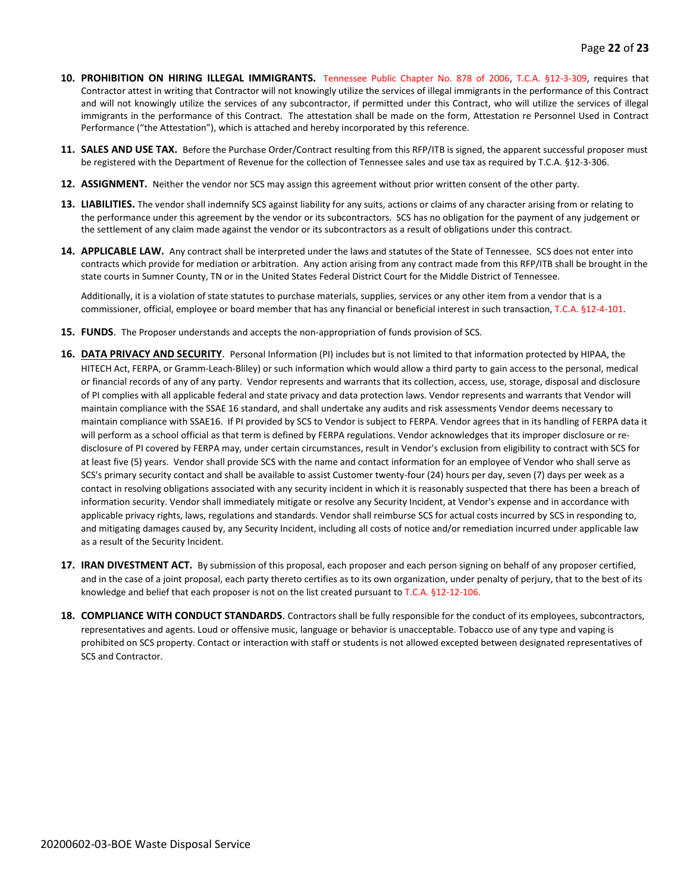- **10. PROHIBITION ON HIRING ILLEGAL IMMIGRANTS.** Tennessee Public Chapter No. 878 of 2006, T.C.A. §12-3-309, requires that Contractor attest in writing that Contractor will not knowingly utilize the services of illegal immigrants in the performance of this Contract and will not knowingly utilize the services of any subcontractor, if permitted under this Contract, who will utilize the services of illegal immigrants in the performance of this Contract. The attestation shall be made on the form, Attestation re Personnel Used in Contract Performance ("the Attestation"), which is attached and hereby incorporated by this reference.
- **11. SALES AND USE TAX.** Before the Purchase Order/Contract resulting from this RFP/ITB is signed, the apparent successful proposer must be registered with the Department of Revenue for the collection of Tennessee sales and use tax as required by T.C.A. §12-3-306.
- **12. ASSIGNMENT.** Neither the vendor nor SCS may assign this agreement without prior written consent of the other party.
- **13. LIABILITIES.** The vendor shall indemnify SCS against liability for any suits, actions or claims of any character arising from or relating to the performance under this agreement by the vendor or its subcontractors. SCS has no obligation for the payment of any judgement or the settlement of any claim made against the vendor or its subcontractors as a result of obligations under this contract.
- **14. APPLICABLE LAW.** Any contract shall be interpreted under the laws and statutes of the State of Tennessee. SCS does not enter into contracts which provide for mediation or arbitration. Any action arising from any contract made from this RFP/ITB shall be brought in the state courts in Sumner County, TN or in the United States Federal District Court for the Middle District of Tennessee.

Additionally, it is a violation of state statutes to purchase materials, supplies, services or any other item from a vendor that is a commissioner, official, employee or board member that has any financial or beneficial interest in such transaction, T.C.A. §12-4-101.

- **15. FUNDS**. The Proposer understands and accepts the non-appropriation of funds provision of SCS.
- **16. DATA PRIVACY AND SECURITY**. Personal Information (PI) includes but is not limited to that information protected by HIPAA, the HITECH Act, FERPA, or Gramm-Leach-Bliley) or such information which would allow a third party to gain access to the personal, medical or financial records of any of any party. Vendor represents and warrants that its collection, access, use, storage, disposal and disclosure of PI complies with all applicable federal and state privacy and data protection laws. Vendor represents and warrants that Vendor will maintain compliance with the SSAE 16 standard, and shall undertake any audits and risk assessments Vendor deems necessary to maintain compliance with SSAE16. If PI provided by SCS to Vendor is subject to FERPA. Vendor agrees that in its handling of FERPA data it will perform as a school official as that term is defined by FERPA regulations. Vendor acknowledges that its improper disclosure or redisclosure of PI covered by FERPA may, under certain circumstances, result in Vendor's exclusion from eligibility to contract with SCS for at least five (5) years. Vendor shall provide SCS with the name and contact information for an employee of Vendor who shall serve as SCS's primary security contact and shall be available to assist Customer twenty-four (24) hours per day, seven (7) days per week as a contact in resolving obligations associated with any security incident in which it is reasonably suspected that there has been a breach of information security. Vendor shall immediately mitigate or resolve any Security Incident, at Vendor's expense and in accordance with applicable privacy rights, laws, regulations and standards. Vendor shall reimburse SCS for actual costs incurred by SCS in responding to, and mitigating damages caused by, any Security Incident, including all costs of notice and/or remediation incurred under applicable law as a result of the Security Incident.
- **17. IRAN DIVESTMENT ACT.** By submission of this proposal, each proposer and each person signing on behalf of any proposer certified, and in the case of a joint proposal, each party thereto certifies as to its own organization, under penalty of perjury, that to the best of its knowledge and belief that each proposer is not on the list created pursuant to T.C.A. §12-12-106.
- **18. COMPLIANCE WITH CONDUCT STANDARDS**. Contractors shall be fully responsible for the conduct of its employees, subcontractors, representatives and agents. Loud or offensive music, language or behavior is unacceptable. Tobacco use of any type and vaping is prohibited on SCS property. Contact or interaction with staff or students is not allowed excepted between designated representatives of SCS and Contractor.